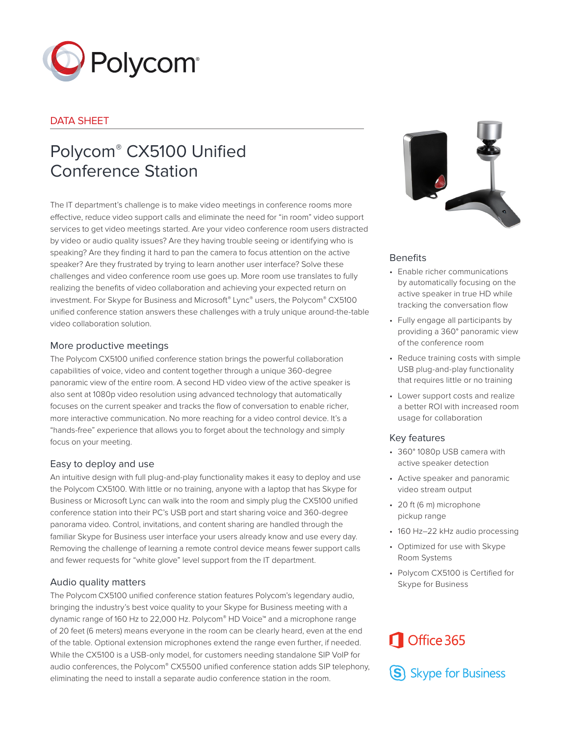

## DATA SHEET

# Polycom® CX5100 Unified Conference Station

The IT department's challenge is to make video meetings in conference rooms more effective, reduce video support calls and eliminate the need for "in room" video support services to get video meetings started. Are your video conference room users distracted by video or audio quality issues? Are they having trouble seeing or identifying who is speaking? Are they finding it hard to pan the camera to focus attention on the active speaker? Are they frustrated by trying to learn another user interface? Solve these challenges and video conference room use goes up. More room use translates to fully realizing the benefits of video collaboration and achieving your expected return on investment. For Skype for Business and Microsoft® Lync® users, the Polycom® CX5100 unified conference station answers these challenges with a truly unique around-the-table video collaboration solution.

#### More productive meetings

The Polycom CX5100 unified conference station brings the powerful collaboration capabilities of voice, video and content together through a unique 360-degree panoramic view of the entire room. A second HD video view of the active speaker is also sent at 1080p video resolution using advanced technology that automatically focuses on the current speaker and tracks the flow of conversation to enable richer, more interactive communication. No more reaching for a video control device. It's a "hands-free" experience that allows you to forget about the technology and simply focus on your meeting.

#### Easy to deploy and use

An intuitive design with full plug-and-play functionality makes it easy to deploy and use the Polycom CX5100. With little or no training, anyone with a laptop that has Skype for Business or Microsoft Lync can walk into the room and simply plug the CX5100 unified conference station into their PC's USB port and start sharing voice and 360-degree panorama video. Control, invitations, and content sharing are handled through the familiar Skype for Business user interface your users already know and use every day. Removing the challenge of learning a remote control device means fewer support calls and fewer requests for "white glove" level support from the IT department.

#### Audio quality matters

The Polycom CX5100 unified conference station features Polycom's legendary audio, bringing the industry's best voice quality to your Skype for Business meeting with a dynamic range of 160 Hz to 22,000 Hz. Polycom® HD Voice™ and a microphone range of 20 feet (6 meters) means everyone in the room can be clearly heard, even at the end of the table. Optional extension microphones extend the range even further, if needed. While the CX5100 is a USB-only model, for customers needing standalone SIP VoIP for audio conferences, the Polycom® CX5500 unified conference station adds SIP telephony, eliminating the need to install a separate audio conference station in the room.



#### **Benefits**

- Enable richer communications by automatically focusing on the active speaker in true HD while tracking the conversation flow
- Fully engage all participants by providing a 360° panoramic view of the conference room
- Reduce training costs with simple USB plug-and-play functionality that requires little or no training
- Lower support costs and realize a better ROI with increased room usage for collaboration

#### Key features

- 360° 1080p USB camera with active speaker detection
- Active speaker and panoramic video stream output
- 20 ft (6 m) microphone pickup range
- 160 Hz-22 kHz audio processing
- Optimized for use with Skype Room Systems
- Polycom CX5100 is Certified for Skype for Business

# Office 365

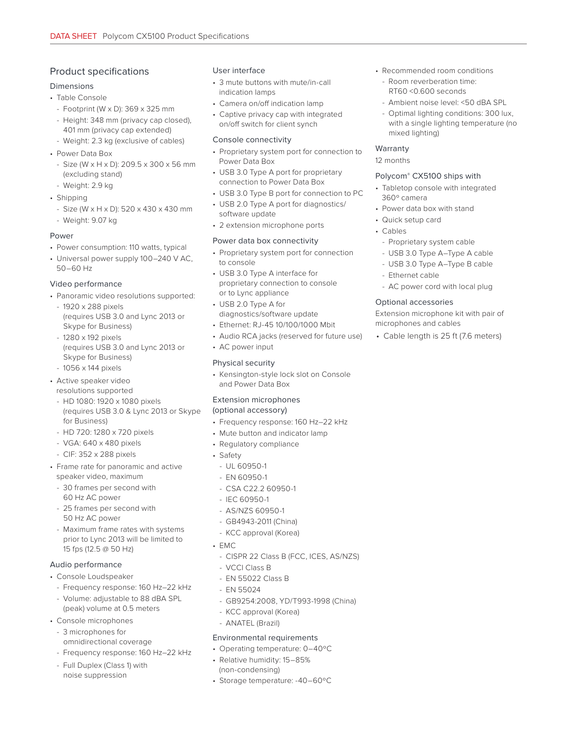## Product specifications

#### Dimensions

- Table Console
	- Footprint (W x D): 369 x 325 mm
	- Height: 348 mm (privacy cap closed), 401 mm (privacy cap extended)
	- Weight: 2.3 kg (exclusive of cables)
- Power Data Box
- Size (W x H x D): 209.5 x 300 x 56 mm (excluding stand)
- Weight: 2.9 kg
- Shipping
- Size (W x H x D): 520 x 430 x 430 mm
- Weight: 9.07 kg

#### Power

- Power consumption: 110 watts, typical
- Universal power supply 100–240 V AC, 50–60 Hz

#### Video performance

- Panoramic video resolutions supported:
- 1920 x 288 pixels (requires USB 3.0 and Lync 2013 or Skype for Business)
- 1280 x 192 pixels (requires USB 3.0 and Lync 2013 or Skype for Business) - 1056 x 144 pixels
- Active speaker video resolutions supported
	- HD 1080: 1920 x 1080 pixels (requires USB 3.0 & Lync 2013 or Skype for Business)
	- HD 720: 1280 x 720 pixels
	- VGA: 640 x 480 pixels
	- CIF: 352 x 288 pixels
- Frame rate for panoramic and active speaker video, maximum
	- 30 frames per second with 60 Hz AC power
- 25 frames per second with 50 Hz AC power
- Maximum frame rates with systems prior to Lync 2013 will be limited to 15 fps (12.5 @ 50 Hz)

#### Audio performance

- Console Loudspeaker
	- Frequency response: 160 Hz–22 kHz
	- Volume: adjustable to 88 dBA SPL (peak) volume at 0.5 meters
- Console microphones
- 3 microphones for omnidirectional coverage
- Frequency response: 160 Hz–22 kHz
- Full Duplex (Class 1) with noise suppression

#### User interface

- 3 mute buttons with mute/in-call indication lamps
- Camera on/off indication lamp
- Captive privacy cap with integrated on/off switch for client synch

#### Console connectivity

- Proprietary system port for connection to Power Data Box
- USB 3.0 Type A port for proprietary connection to Power Data Box
- USB 3.0 Type B port for connection to PC
- USB 2.0 Type A port for diagnostics/ software update
- 2 extension microphone ports

#### Power data box connectivity

- Proprietary system port for connection to console
- USB 3.0 Type A interface for proprietary connection to console or to Lync appliance
- USB 2.0 Type A for diagnostics/software update
- Ethernet: RJ-45 10/100/1000 Mbit
- Audio RCA jacks (reserved for future use)
- AC power input

# Physical security

• Kensington-style lock slot on Console and Power Data Box

# Extension microphones

(optional accessory)

- Frequency response: 160 Hz–22 kHz
- Mute button and indicator lamp
- Regulatory compliance
- Safety
	- UL 60950-1
	- $-$  FN 60950-1
	- CSA C22.2 60950-1
	- IEC 60950-1
	- AS/NZS 60950-1
	- GB4943-2011 (China)
	- KCC approval (Korea)
- EMC
	- CISPR 22 Class B (FCC, ICES, AS/NZS)
	- VCCI Class B
	- EN 55022 Class B
	- EN 55024
	- GB9254:2008, YD/T993-1998 (China)
	- KCC approval (Korea)
	- ANATEL (Brazil)

## Environmental requirements

- Operating temperature: 0–40ºC
- Relative humidity: 15–85% (non-condensing)
- Storage temperature: -40–60ºC
- Recommended room conditions
	- Room reverberation time: RT60 <0.600 seconds
	- Ambient noise level: <50 dBA SPL
	- Optimal lighting conditions: 300 lux, with a single lighting temperature (no mixed lighting)

#### Warranty

12 months

#### Polycom® CX5100 ships with

- Tabletop console with integrated 360º camera
- Power data box with stand
- Quick setup card
- Cables
	- Proprietary system cable
- USB 3.0 Type A–Type A cable
- USB 3.0 Type A–Type B cable
- Ethernet cable
- AC power cord with local plug

#### Optional accessories

Extension microphone kit with pair of microphones and cables

• Cable length is 25 ft (7.6 meters)